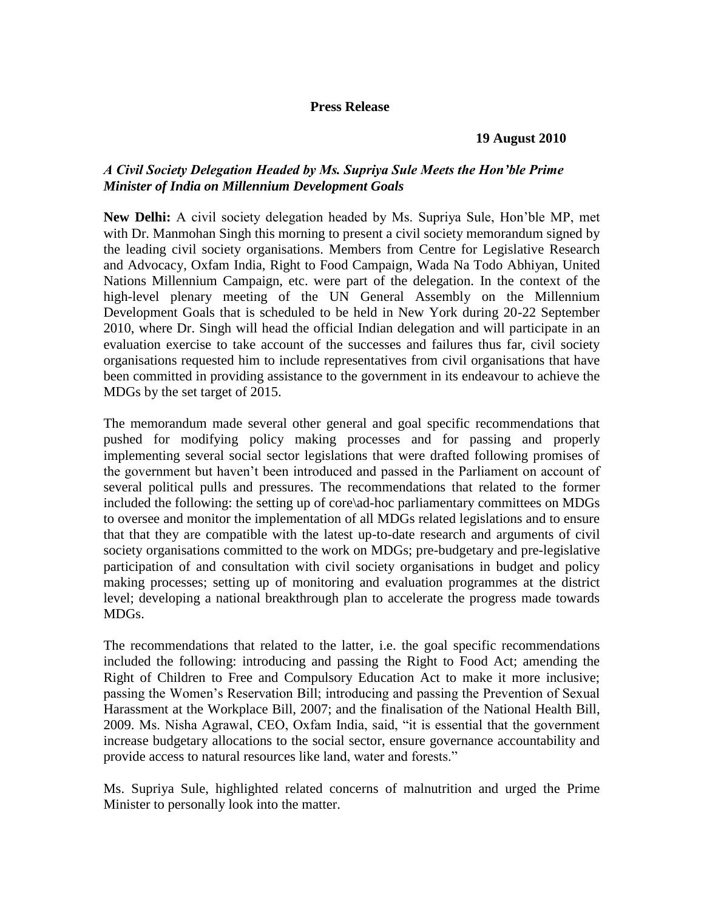## **Press Release**

## **19 August 2010**

## *A Civil Society Delegation Headed by Ms. Supriya Sule Meets the Hon'ble Prime Minister of India on Millennium Development Goals*

**New Delhi:** A civil society delegation headed by Ms. Supriya Sule, Hon'ble MP, met with Dr. Manmohan Singh this morning to present a civil society memorandum signed by the leading civil society organisations. Members from Centre for Legislative Research and Advocacy, Oxfam India, Right to Food Campaign, Wada Na Todo Abhiyan, United Nations Millennium Campaign, etc. were part of the delegation. In the context of the high-level plenary meeting of the UN General Assembly on the Millennium Development Goals that is scheduled to be held in New York during 20-22 September 2010, where Dr. Singh will head the official Indian delegation and will participate in an evaluation exercise to take account of the successes and failures thus far, civil society organisations requested him to include representatives from civil organisations that have been committed in providing assistance to the government in its endeavour to achieve the MDGs by the set target of 2015.

The memorandum made several other general and goal specific recommendations that pushed for modifying policy making processes and for passing and properly implementing several social sector legislations that were drafted following promises of the government but haven't been introduced and passed in the Parliament on account of several political pulls and pressures. The recommendations that related to the former included the following: the setting up of core\ad-hoc parliamentary committees on MDGs to oversee and monitor the implementation of all MDGs related legislations and to ensure that that they are compatible with the latest up-to-date research and arguments of civil society organisations committed to the work on MDGs; pre-budgetary and pre-legislative participation of and consultation with civil society organisations in budget and policy making processes; setting up of monitoring and evaluation programmes at the district level; developing a national breakthrough plan to accelerate the progress made towards MDGs.

The recommendations that related to the latter, i.e. the goal specific recommendations included the following: introducing and passing the Right to Food Act; amending the Right of Children to Free and Compulsory Education Act to make it more inclusive; passing the Women's Reservation Bill; introducing and passing the Prevention of Sexual Harassment at the Workplace Bill, 2007; and the finalisation of the National Health Bill, 2009. Ms. Nisha Agrawal, CEO, Oxfam India, said, "it is essential that the government increase budgetary allocations to the social sector, ensure governance accountability and provide access to natural resources like land, water and forests."

Ms. Supriya Sule, highlighted related concerns of malnutrition and urged the Prime Minister to personally look into the matter.